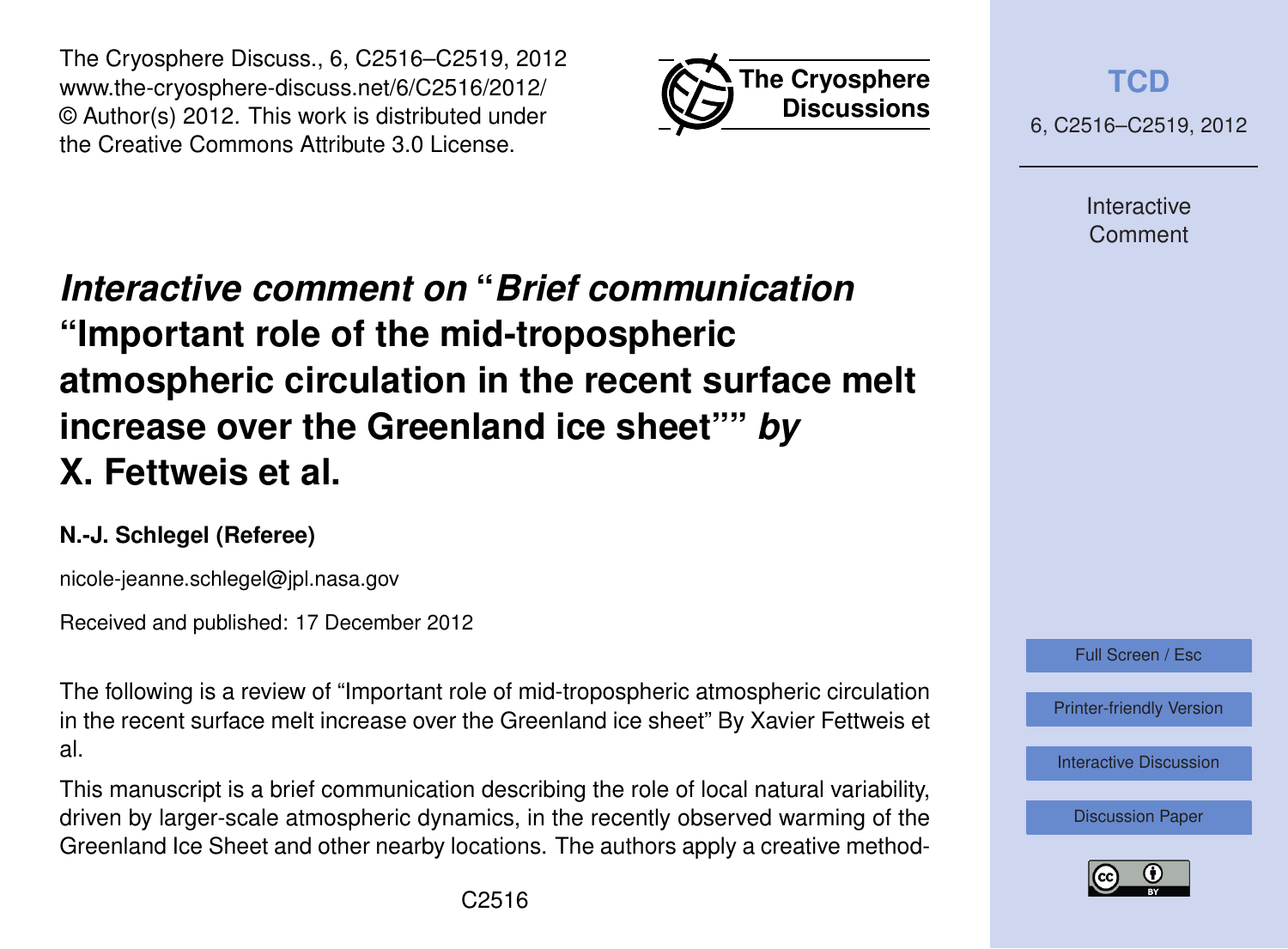



**[TCD](http://www.the-cryosphere-discuss.net)**

6, C2516–C2519, 2012

Interactive Comment

# *Interactive comment on* **"***Brief communication* **"Important role of the mid-tropospheric atmospheric circulation in the recent surface melt increase over the Greenland ice sheet""** *by* **X. Fettweis et al.**

## **N.-J. Schlegel (Referee)**

nicole-jeanne.schlegel@jpl.nasa.gov

Received and published: 17 December 2012

The following is a review of "Important role of mid-tropospheric atmospheric circulation in the recent surface melt increase over the Greenland ice sheet" By Xavier Fettweis et al.

This manuscript is a brief communication describing the role of local natural variability, driven by larger-scale atmospheric dynamics, in the recently observed warming of the Greenland Ice Sheet and other nearby locations. The authors apply a creative method-



[Printer-friendly Version](http://www.the-cryosphere-discuss.net/6/C2516/2012/tcd-6-C2516-2012-print.pdf)

[Interactive Discussion](http://www.the-cryosphere-discuss.net/6/4101/2012/tcd-6-4101-2012-discussion.html)

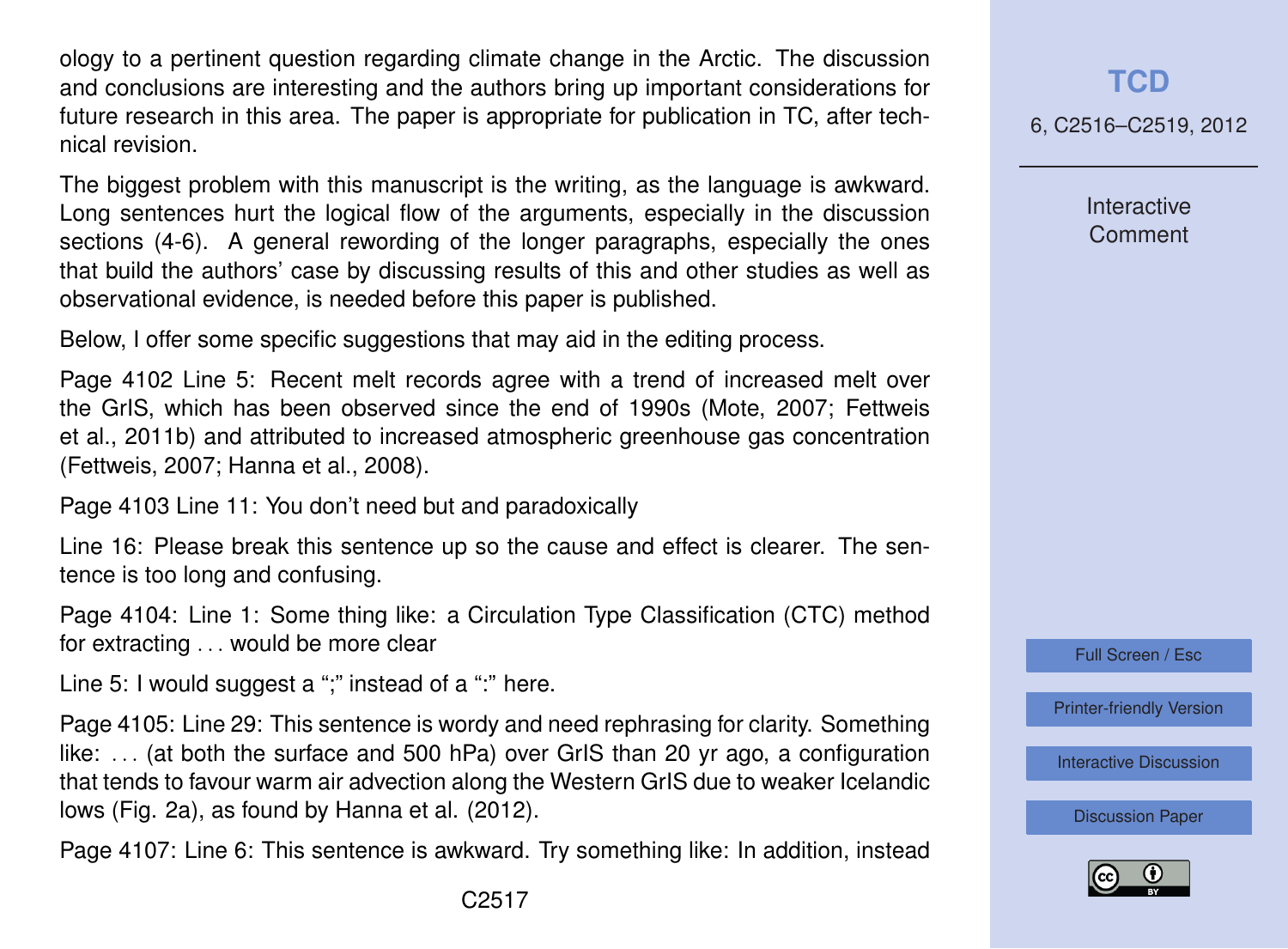ology to a pertinent question regarding climate change in the Arctic. The discussion and conclusions are interesting and the authors bring up important considerations for future research in this area. The paper is appropriate for publication in TC, after technical revision.

The biggest problem with this manuscript is the writing, as the language is awkward. Long sentences hurt the logical flow of the arguments, especially in the discussion sections (4-6). A general rewording of the longer paragraphs, especially the ones that build the authors' case by discussing results of this and other studies as well as observational evidence, is needed before this paper is published.

Below, I offer some specific suggestions that may aid in the editing process.

Page 4102 Line 5: Recent melt records agree with a trend of increased melt over the GrIS, which has been observed since the end of 1990s (Mote, 2007; Fettweis et al., 2011b) and attributed to increased atmospheric greenhouse gas concentration (Fettweis, 2007; Hanna et al., 2008).

Page 4103 Line 11: You don't need but and paradoxically

Line 16: Please break this sentence up so the cause and effect is clearer. The sentence is too long and confusing.

Page 4104: Line 1: Some thing like: a Circulation Type Classification (CTC) method for extracting . . . would be more clear

Line 5: I would suggest a ";" instead of a ":" here.

Page 4105: Line 29: This sentence is wordy and need rephrasing for clarity. Something like: . . . (at both the surface and 500 hPa) over GrIS than 20 yr ago, a configuration that tends to favour warm air advection along the Western GrIS due to weaker Icelandic lows (Fig. 2a), as found by Hanna et al. (2012).

Page 4107: Line 6: This sentence is awkward. Try something like: In addition, instead

#### **[TCD](http://www.the-cryosphere-discuss.net)**

6, C2516–C2519, 2012

**Interactive Comment** 

Full Screen / Esc

[Printer-friendly Version](http://www.the-cryosphere-discuss.net/6/C2516/2012/tcd-6-C2516-2012-print.pdf)

[Interactive Discussion](http://www.the-cryosphere-discuss.net/6/4101/2012/tcd-6-4101-2012-discussion.html)

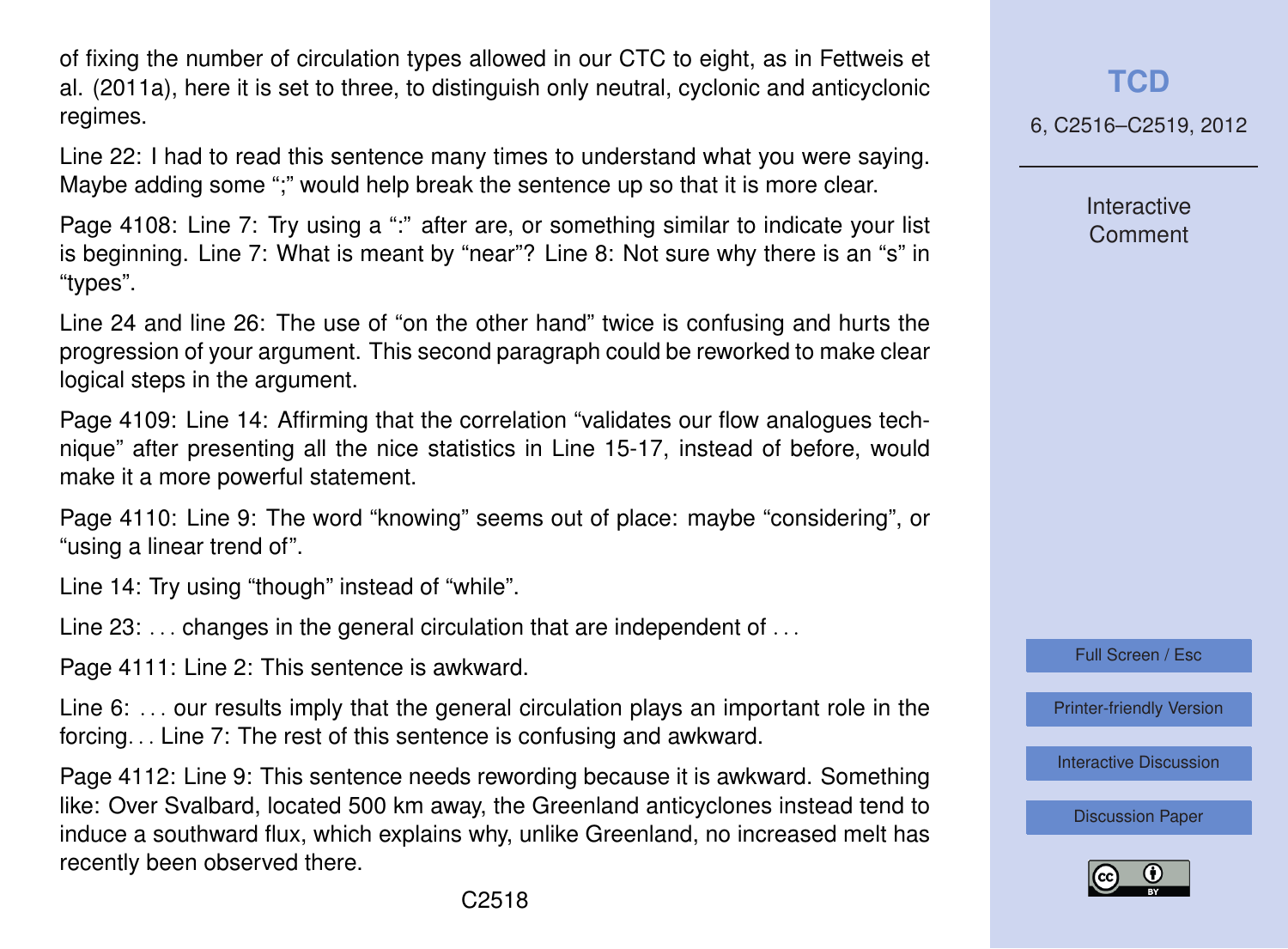of fixing the number of circulation types allowed in our CTC to eight, as in Fettweis et al. (2011a), here it is set to three, to distinguish only neutral, cyclonic and anticyclonic regimes.

Line 22: I had to read this sentence many times to understand what you were saying. Maybe adding some ";" would help break the sentence up so that it is more clear.

Page 4108: Line 7: Try using a ":" after are, or something similar to indicate your list is beginning. Line 7: What is meant by "near"? Line 8: Not sure why there is an "s" in "types".

Line 24 and line 26: The use of "on the other hand" twice is confusing and hurts the progression of your argument. This second paragraph could be reworked to make clear logical steps in the argument.

Page 4109: Line 14: Affirming that the correlation "validates our flow analogues technique" after presenting all the nice statistics in Line 15-17, instead of before, would make it a more powerful statement.

Page 4110: Line 9: The word "knowing" seems out of place: maybe "considering", or "using a linear trend of".

Line 14: Try using "though" instead of "while".

Line  $23: \ldots$  changes in the general circulation that are independent of  $\ldots$ 

Page 4111: Line 2: This sentence is awkward.

Line 6: . . . our results imply that the general circulation plays an important role in the forcing. . . Line 7: The rest of this sentence is confusing and awkward.

Page 4112: Line 9: This sentence needs rewording because it is awkward. Something like: Over Svalbard, located 500 km away, the Greenland anticyclones instead tend to induce a southward flux, which explains why, unlike Greenland, no increased melt has recently been observed there.

#### **[TCD](http://www.the-cryosphere-discuss.net)**

6, C2516–C2519, 2012

Interactive Comment

Full Screen / Esc

[Printer-friendly Version](http://www.the-cryosphere-discuss.net/6/C2516/2012/tcd-6-C2516-2012-print.pdf)

[Interactive Discussion](http://www.the-cryosphere-discuss.net/6/4101/2012/tcd-6-4101-2012-discussion.html)